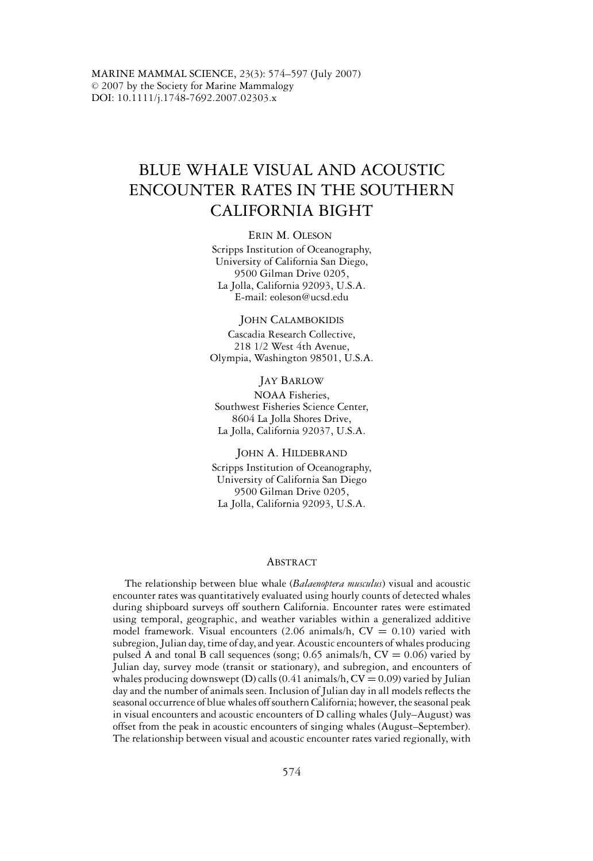MARINE MAMMAL SCIENCE, 23(3): 574–597 (July 2007) -<sup>C</sup> 2007 by the Society for Marine Mammalogy DOI: 10.1111/j.1748-7692.2007.02303.x

# BLUE WHALE VISUAL AND ACOUSTIC ENCOUNTER RATES IN THE SOUTHERN CALIFORNIA BIGHT

# ERIN M. OLESON

Scripps Institution of Oceanography, University of California San Diego, 9500 Gilman Drive 0205, La Jolla, California 92093, U.S.A. E-mail: eoleson@ucsd.edu

# JOHN CALAMBOKIDIS

Cascadia Research Collective, 218 1/2 West 4th Avenue, Olympia, Washington 98501, U.S.A.

JAY BARLOW NOAA Fisheries, Southwest Fisheries Science Center, 8604 La Jolla Shores Drive, La Jolla, California 92037, U.S.A.

JOHN A. HILDEBRAND Scripps Institution of Oceanography, University of California San Diego 9500 Gilman Drive 0205, La Jolla, California 92093, U.S.A.

## **ABSTRACT**

The relationship between blue whale (*Balaenoptera musculus*) visual and acoustic encounter rates was quantitatively evaluated using hourly counts of detected whales during shipboard surveys off southern California. Encounter rates were estimated using temporal, geographic, and weather variables within a generalized additive model framework. Visual encounters (2.06 animals/h,  $CV = 0.10$ ) varied with subregion, Julian day, time of day, and year. Acoustic encounters of whales producing pulsed A and tonal B call sequences (song;  $0.65$  animals/h,  $CV = 0.06$ ) varied by Julian day, survey mode (transit or stationary), and subregion, and encounters of whales producing downswept (D) calls (0.41 animals/h,  $CV = 0.09$ ) varied by Julian day and the number of animals seen. Inclusion of Julian day in all models reflects the seasonal occurrence of blue whales off southern California; however, the seasonal peak in visual encounters and acoustic encounters of D calling whales (July–August) was offset from the peak in acoustic encounters of singing whales (August–September). The relationship between visual and acoustic encounter rates varied regionally, with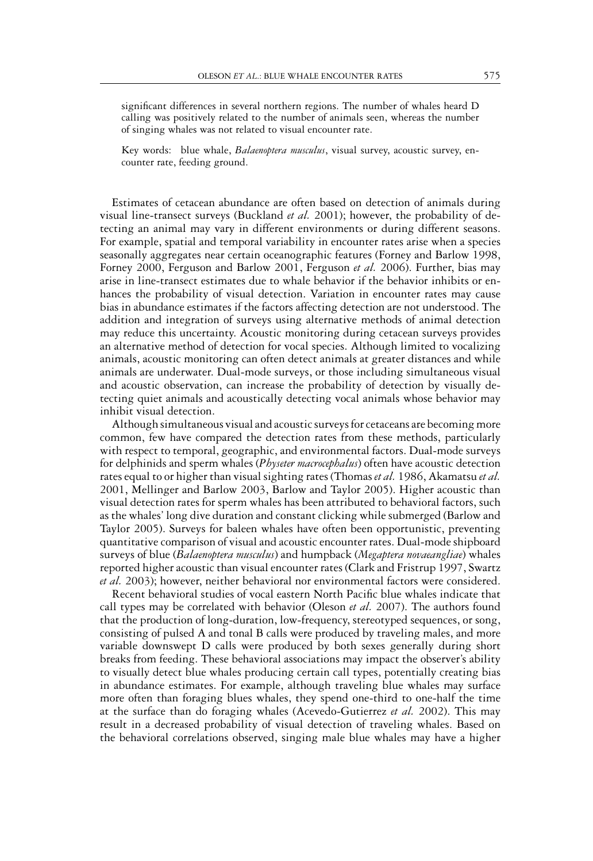significant differences in several northern regions. The number of whales heard D calling was positively related to the number of animals seen, whereas the number of singing whales was not related to visual encounter rate.

Key words: blue whale, *Balaenoptera musculus*, visual survey, acoustic survey, encounter rate, feeding ground.

Estimates of cetacean abundance are often based on detection of animals during visual line-transect surveys (Buckland *et al.* 2001); however, the probability of detecting an animal may vary in different environments or during different seasons. For example, spatial and temporal variability in encounter rates arise when a species seasonally aggregates near certain oceanographic features (Forney and Barlow 1998, Forney 2000, Ferguson and Barlow 2001, Ferguson *et al.* 2006). Further, bias may arise in line-transect estimates due to whale behavior if the behavior inhibits or enhances the probability of visual detection. Variation in encounter rates may cause bias in abundance estimates if the factors affecting detection are not understood. The addition and integration of surveys using alternative methods of animal detection may reduce this uncertainty. Acoustic monitoring during cetacean surveys provides an alternative method of detection for vocal species. Although limited to vocalizing animals, acoustic monitoring can often detect animals at greater distances and while animals are underwater. Dual-mode surveys, or those including simultaneous visual and acoustic observation, can increase the probability of detection by visually detecting quiet animals and acoustically detecting vocal animals whose behavior may inhibit visual detection.

Although simultaneous visual and acoustic surveys for cetaceans are becoming more common, few have compared the detection rates from these methods, particularly with respect to temporal, geographic, and environmental factors. Dual-mode surveys for delphinids and sperm whales (*Physeter macrocephalus*) often have acoustic detection rates equal to or higher than visual sighting rates (Thomas *et al.* 1986, Akamatsu *et al.* 2001, Mellinger and Barlow 2003, Barlow and Taylor 2005). Higher acoustic than visual detection rates for sperm whales has been attributed to behavioral factors, such as the whales' long dive duration and constant clicking while submerged (Barlow and Taylor 2005). Surveys for baleen whales have often been opportunistic, preventing quantitative comparison of visual and acoustic encounter rates. Dual-mode shipboard surveys of blue (*Balaenoptera musculus*) and humpback (*Megaptera novaeangliae*) whales reported higher acoustic than visual encounter rates (Clark and Fristrup 1997, Swartz *et al.* 2003); however, neither behavioral nor environmental factors were considered.

Recent behavioral studies of vocal eastern North Pacific blue whales indicate that call types may be correlated with behavior (Oleson *et al.* 2007). The authors found that the production of long-duration, low-frequency, stereotyped sequences, or song, consisting of pulsed A and tonal B calls were produced by traveling males, and more variable downswept D calls were produced by both sexes generally during short breaks from feeding. These behavioral associations may impact the observer's ability to visually detect blue whales producing certain call types, potentially creating bias in abundance estimates. For example, although traveling blue whales may surface more often than foraging blues whales, they spend one-third to one-half the time at the surface than do foraging whales (Acevedo-Gutierrez *et al.* 2002). This may result in a decreased probability of visual detection of traveling whales. Based on the behavioral correlations observed, singing male blue whales may have a higher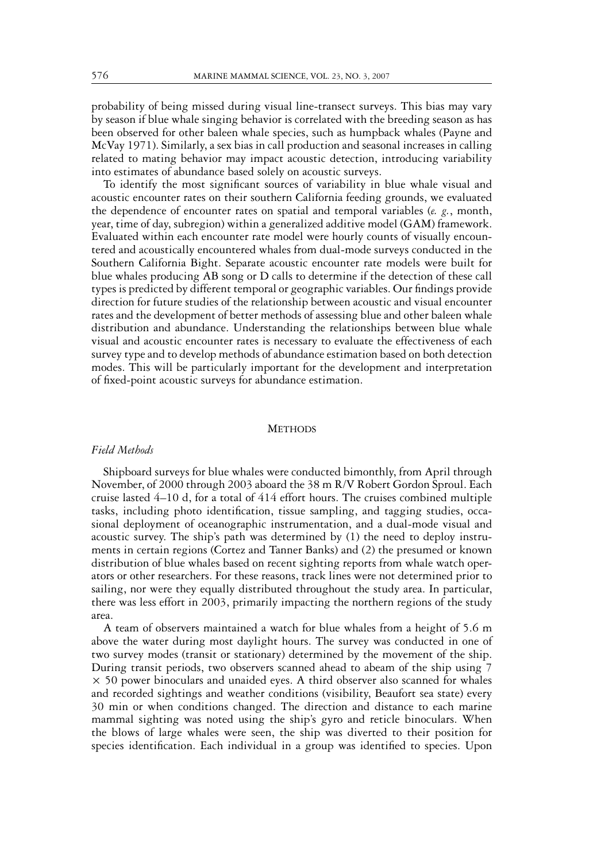probability of being missed during visual line-transect surveys. This bias may vary by season if blue whale singing behavior is correlated with the breeding season as has been observed for other baleen whale species, such as humpback whales (Payne and McVay 1971). Similarly, a sex bias in call production and seasonal increases in calling related to mating behavior may impact acoustic detection, introducing variability into estimates of abundance based solely on acoustic surveys.

To identify the most significant sources of variability in blue whale visual and acoustic encounter rates on their southern California feeding grounds, we evaluated the dependence of encounter rates on spatial and temporal variables (*e. g.*, month, year, time of day, subregion) within a generalized additive model (GAM) framework. Evaluated within each encounter rate model were hourly counts of visually encountered and acoustically encountered whales from dual-mode surveys conducted in the Southern California Bight. Separate acoustic encounter rate models were built for blue whales producing AB song or D calls to determine if the detection of these call types is predicted by different temporal or geographic variables. Our findings provide direction for future studies of the relationship between acoustic and visual encounter rates and the development of better methods of assessing blue and other baleen whale distribution and abundance. Understanding the relationships between blue whale visual and acoustic encounter rates is necessary to evaluate the effectiveness of each survey type and to develop methods of abundance estimation based on both detection modes. This will be particularly important for the development and interpretation of fixed-point acoustic surveys for abundance estimation.

## **METHODS**

#### *Field Methods*

Shipboard surveys for blue whales were conducted bimonthly, from April through November, of 2000 through 2003 aboard the 38 m R/V Robert Gordon Sproul. Each cruise lasted 4–10 d, for a total of 414 effort hours. The cruises combined multiple tasks, including photo identification, tissue sampling, and tagging studies, occasional deployment of oceanographic instrumentation, and a dual-mode visual and acoustic survey. The ship's path was determined by (1) the need to deploy instruments in certain regions (Cortez and Tanner Banks) and (2) the presumed or known distribution of blue whales based on recent sighting reports from whale watch operators or other researchers. For these reasons, track lines were not determined prior to sailing, nor were they equally distributed throughout the study area. In particular, there was less effort in 2003, primarily impacting the northern regions of the study area.

A team of observers maintained a watch for blue whales from a height of 5.6 m above the water during most daylight hours. The survey was conducted in one of two survey modes (transit or stationary) determined by the movement of the ship. During transit periods, two observers scanned ahead to abeam of the ship using 7 × 50 power binoculars and unaided eyes. A third observer also scanned for whales and recorded sightings and weather conditions (visibility, Beaufort sea state) every 30 min or when conditions changed. The direction and distance to each marine mammal sighting was noted using the ship's gyro and reticle binoculars. When the blows of large whales were seen, the ship was diverted to their position for species identification. Each individual in a group was identified to species. Upon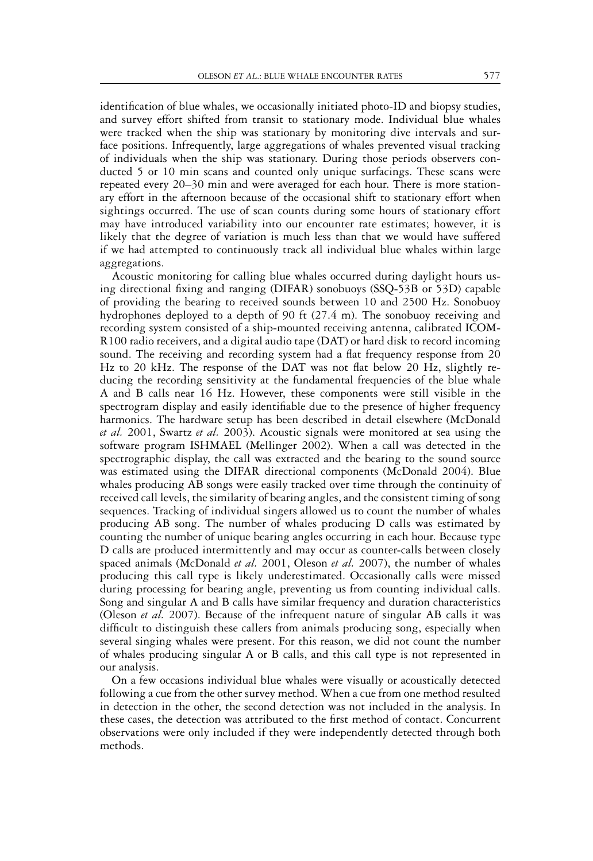identification of blue whales, we occasionally initiated photo-ID and biopsy studies, and survey effort shifted from transit to stationary mode. Individual blue whales were tracked when the ship was stationary by monitoring dive intervals and surface positions. Infrequently, large aggregations of whales prevented visual tracking of individuals when the ship was stationary. During those periods observers conducted 5 or 10 min scans and counted only unique surfacings. These scans were repeated every 20–30 min and were averaged for each hour. There is more stationary effort in the afternoon because of the occasional shift to stationary effort when sightings occurred. The use of scan counts during some hours of stationary effort may have introduced variability into our encounter rate estimates; however, it is likely that the degree of variation is much less than that we would have suffered if we had attempted to continuously track all individual blue whales within large aggregations.

Acoustic monitoring for calling blue whales occurred during daylight hours using directional fixing and ranging (DIFAR) sonobuoys (SSQ-53B or 53D) capable of providing the bearing to received sounds between 10 and 2500 Hz. Sonobuoy hydrophones deployed to a depth of 90 ft (27.4 m). The sonobuoy receiving and recording system consisted of a ship-mounted receiving antenna, calibrated ICOM-R100 radio receivers, and a digital audio tape (DAT) or hard disk to record incoming sound. The receiving and recording system had a flat frequency response from 20 Hz to 20 kHz. The response of the DAT was not flat below 20 Hz, slightly reducing the recording sensitivity at the fundamental frequencies of the blue whale A and B calls near 16 Hz. However, these components were still visible in the spectrogram display and easily identifiable due to the presence of higher frequency harmonics. The hardware setup has been described in detail elsewhere (McDonald *et al.* 2001, Swartz *et al.* 2003). Acoustic signals were monitored at sea using the software program ISHMAEL (Mellinger 2002). When a call was detected in the spectrographic display, the call was extracted and the bearing to the sound source was estimated using the DIFAR directional components (McDonald 2004). Blue whales producing AB songs were easily tracked over time through the continuity of received call levels, the similarity of bearing angles, and the consistent timing of song sequences. Tracking of individual singers allowed us to count the number of whales producing AB song. The number of whales producing D calls was estimated by counting the number of unique bearing angles occurring in each hour. Because type D calls are produced intermittently and may occur as counter-calls between closely spaced animals (McDonald *et al.* 2001, Oleson *et al.* 2007), the number of whales producing this call type is likely underestimated. Occasionally calls were missed during processing for bearing angle, preventing us from counting individual calls. Song and singular A and B calls have similar frequency and duration characteristics (Oleson *et al.* 2007). Because of the infrequent nature of singular AB calls it was difficult to distinguish these callers from animals producing song, especially when several singing whales were present. For this reason, we did not count the number of whales producing singular A or B calls, and this call type is not represented in our analysis.

On a few occasions individual blue whales were visually or acoustically detected following a cue from the other survey method. When a cue from one method resulted in detection in the other, the second detection was not included in the analysis. In these cases, the detection was attributed to the first method of contact. Concurrent observations were only included if they were independently detected through both methods.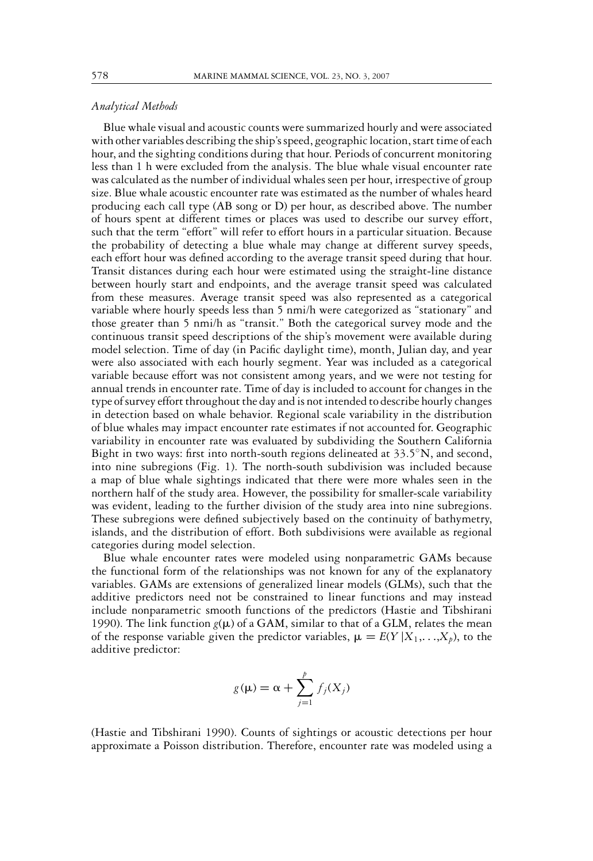## *Analytical Methods*

Blue whale visual and acoustic counts were summarized hourly and were associated with other variables describing the ship's speed, geographic location, start time of each hour, and the sighting conditions during that hour. Periods of concurrent monitoring less than 1 h were excluded from the analysis. The blue whale visual encounter rate was calculated as the number of individual whales seen per hour, irrespective of group size. Blue whale acoustic encounter rate was estimated as the number of whales heard producing each call type (AB song or D) per hour, as described above. The number of hours spent at different times or places was used to describe our survey effort, such that the term "effort" will refer to effort hours in a particular situation. Because the probability of detecting a blue whale may change at different survey speeds, each effort hour was defined according to the average transit speed during that hour. Transit distances during each hour were estimated using the straight-line distance between hourly start and endpoints, and the average transit speed was calculated from these measures. Average transit speed was also represented as a categorical variable where hourly speeds less than 5 nmi/h were categorized as "stationary" and those greater than 5 nmi/h as "transit." Both the categorical survey mode and the continuous transit speed descriptions of the ship's movement were available during model selection. Time of day (in Pacific daylight time), month, Julian day, and year were also associated with each hourly segment. Year was included as a categorical variable because effort was not consistent among years, and we were not testing for annual trends in encounter rate. Time of day is included to account for changes in the type of survey effort throughout the day and is not intended to describe hourly changes in detection based on whale behavior. Regional scale variability in the distribution of blue whales may impact encounter rate estimates if not accounted for. Geographic variability in encounter rate was evaluated by subdividing the Southern California Bight in two ways: first into north-south regions delineated at 33.5◦N, and second, into nine subregions (Fig. 1). The north-south subdivision was included because a map of blue whale sightings indicated that there were more whales seen in the northern half of the study area. However, the possibility for smaller-scale variability was evident, leading to the further division of the study area into nine subregions. These subregions were defined subjectively based on the continuity of bathymetry, islands, and the distribution of effort. Both subdivisions were available as regional categories during model selection.

Blue whale encounter rates were modeled using nonparametric GAMs because the functional form of the relationships was not known for any of the explanatory variables. GAMs are extensions of generalized linear models (GLMs), such that the additive predictors need not be constrained to linear functions and may instead include nonparametric smooth functions of the predictors (Hastie and Tibshirani 1990). The link function  $g(\mu)$  of a GAM, similar to that of a GLM, relates the mean of the response variable given the predictor variables,  $\mu = E(Y | X_1, \ldots, X_p)$ , to the additive predictor:

$$
g(\mu) = \alpha + \sum_{j=1}^{p} f_j(X_j)
$$

(Hastie and Tibshirani 1990). Counts of sightings or acoustic detections per hour approximate a Poisson distribution. Therefore, encounter rate was modeled using a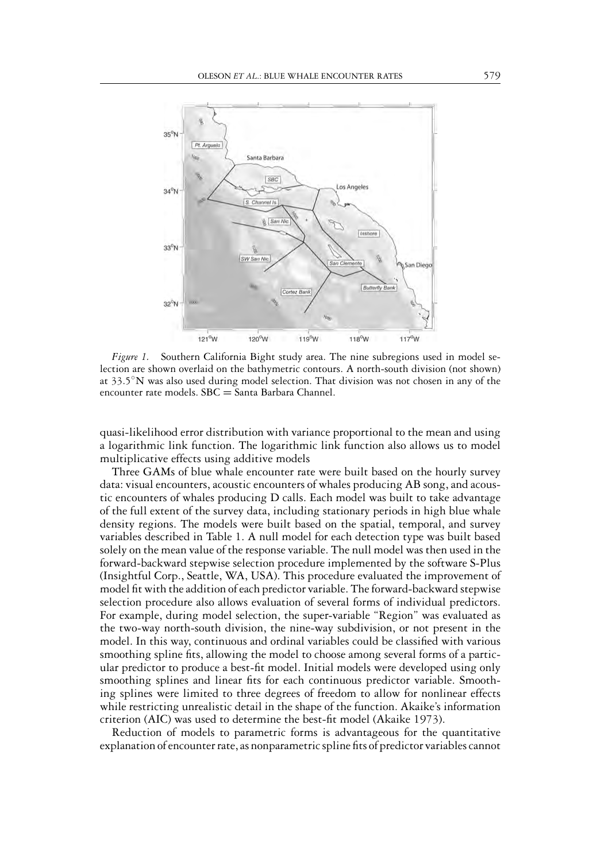

*Figure 1.* Southern California Bight study area. The nine subregions used in model selection are shown overlaid on the bathymetric contours. A north-south division (not shown) at 33.5◦N was also used during model selection. That division was not chosen in any of the encounter rate models.  $SBC =$  Santa Barbara Channel.

quasi-likelihood error distribution with variance proportional to the mean and using a logarithmic link function. The logarithmic link function also allows us to model multiplicative effects using additive models

Three GAMs of blue whale encounter rate were built based on the hourly survey data: visual encounters, acoustic encounters of whales producing AB song, and acoustic encounters of whales producing D calls. Each model was built to take advantage of the full extent of the survey data, including stationary periods in high blue whale density regions. The models were built based on the spatial, temporal, and survey variables described in Table 1. A null model for each detection type was built based solely on the mean value of the response variable. The null model was then used in the forward-backward stepwise selection procedure implemented by the software S-Plus (Insightful Corp., Seattle, WA, USA). This procedure evaluated the improvement of model fit with the addition of each predictor variable. The forward-backward stepwise selection procedure also allows evaluation of several forms of individual predictors. For example, during model selection, the super-variable "Region" was evaluated as the two-way north-south division, the nine-way subdivision, or not present in the model. In this way, continuous and ordinal variables could be classified with various smoothing spline fits, allowing the model to choose among several forms of a particular predictor to produce a best-fit model. Initial models were developed using only smoothing splines and linear fits for each continuous predictor variable. Smoothing splines were limited to three degrees of freedom to allow for nonlinear effects while restricting unrealistic detail in the shape of the function. Akaike's information criterion (AIC) was used to determine the best-fit model (Akaike 1973).

Reduction of models to parametric forms is advantageous for the quantitative explanation of encounter rate, as nonparametric spline fits of predictor variables cannot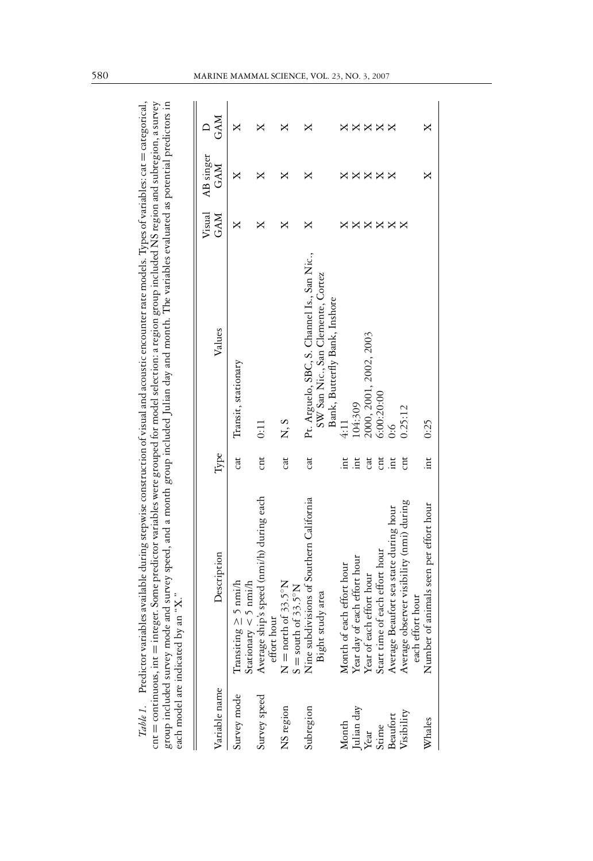|                                                                                                   | <b>INVAY</b>                                       | hradictore in                                                                                                 |      |
|---------------------------------------------------------------------------------------------------|----------------------------------------------------|---------------------------------------------------------------------------------------------------------------|------|
|                                                                                                   |                                                    |                                                                                                               |      |
| onstruction of visual and acoustic encounter rate models. Types of variables: cat $=$ categorical | gion group included NS region and subregion, a su- | ode and survey speed, and a month group included Julian day and month. The variables evaluated as potential t |      |
|                                                                                                   |                                                    |                                                                                                               |      |
|                                                                                                   | ;<br>;<br>;                                        |                                                                                                               |      |
|                                                                                                   | outor for model selection : a region group and     |                                                                                                               |      |
| we external continuum of                                                                          |                                                    |                                                                                                               |      |
|                                                                                                   | nteger. Some predictor variables were grout        |                                                                                                               |      |
| ables avail                                                                                       |                                                    |                                                                                                               |      |
|                                                                                                   | $m = m$                                            |                                                                                                               | y an |
|                                                                                                   | $\gamma$                                           | .<br>.<br>.                                                                                                   |      |
| ŀ                                                                                                 |                                                    | ì                                                                                                             | l    |

| Variable name                                    | Description                                                                                                                                                                                                                                         | Type                    | Values                                                                                                            | GAM | Visual AB singer<br><b>GAM</b> | GAM |
|--------------------------------------------------|-----------------------------------------------------------------------------------------------------------------------------------------------------------------------------------------------------------------------------------------------------|-------------------------|-------------------------------------------------------------------------------------------------------------------|-----|--------------------------------|-----|
| Survey mode                                      | Transiting $\geq 5$ nmi/h<br>Stationary < 5 nmi/h                                                                                                                                                                                                   | cat                     | Transit, stationary                                                                                               |     |                                |     |
| Survey speed                                     | Average ship's speed (nmi/h) during each<br>effort hour                                                                                                                                                                                             | cnt                     | 0:11                                                                                                              |     |                                |     |
| NS region                                        | $N =$ north of 33.5°N<br>S = south of 33.5°N                                                                                                                                                                                                        | cat                     | N, S                                                                                                              |     |                                |     |
| Subregion                                        | Nine subdivisions of Southern California<br>Bight study area                                                                                                                                                                                        | cat                     | Pt. Arguelo, SBC, S. Channel Is., San Nic.,<br>SW San Nic., San Clemente, Cortez<br>Bank, Butterfly Bank, Inshore |     |                                |     |
|                                                  |                                                                                                                                                                                                                                                     | $\overline{\text{int}}$ | 4:11                                                                                                              |     |                                |     |
|                                                  |                                                                                                                                                                                                                                                     | $\ddot{a}$              | 104:309                                                                                                           |     | ⋈                              |     |
|                                                  |                                                                                                                                                                                                                                                     | cat                     | 2000, 2001, 2002, 2003                                                                                            |     | X                              | ×   |
| Month<br>Julian day<br>Year<br>Stime<br>Beaufort |                                                                                                                                                                                                                                                     | tt                      | 5:00:20:00                                                                                                        |     | ×                              | ×   |
|                                                  |                                                                                                                                                                                                                                                     | $\ddot{H}$              | $\frac{6}{1}$                                                                                                     | ×   | ×                              |     |
| Visibility                                       | Month of each effort hour<br>Year day of each effort hour<br>Year of each effort hour<br>Start time of each effort hour<br>Average Beaufort sea state during hour<br>Average observer visibility (nmi) during<br>each effort hour<br>each effort ho | cnt                     | 0.25:12                                                                                                           |     |                                |     |
| Whales                                           | Number of animals seen per effort hour                                                                                                                                                                                                              | int.                    | 0:25                                                                                                              |     |                                |     |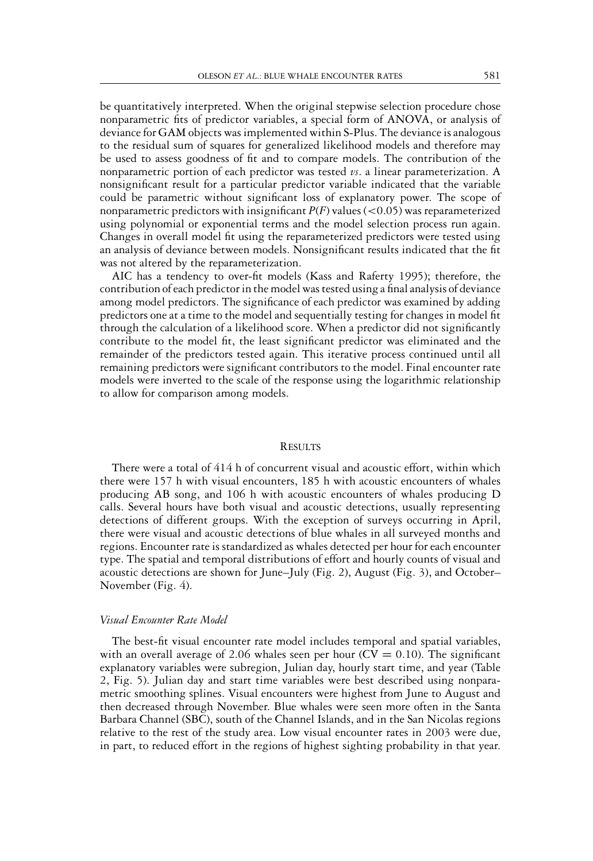be quantitatively interpreted. When the original stepwise selection procedure chose nonparametric fits of predictor variables, a special form of ANOVA, or analysis of deviance for GAM objects was implemented within S-Plus. The deviance is analogous to the residual sum of squares for generalized likelihood models and therefore may be used to assess goodness of fit and to compare models. The contribution of the nonparametric portion of each predictor was tested *vs*. a linear parameterization. A nonsignificant result for a particular predictor variable indicated that the variable could be parametric without significant loss of explanatory power. The scope of nonparametric predictors with insignificant  $P(F)$  values (<0.05) was reparameterized using polynomial or exponential terms and the model selection process run again. Changes in overall model fit using the reparameterized predictors were tested using an analysis of deviance between models. Nonsignificant results indicated that the fit was not altered by the reparameterization.

AIC has a tendency to over-fit models (Kass and Raferty 1995); therefore, the contribution of each predictor in the model was tested using a final analysis of deviance among model predictors. The significance of each predictor was examined by adding predictors one at a time to the model and sequentially testing for changes in model fit through the calculation of a likelihood score. When a predictor did not significantly contribute to the model fit, the least significant predictor was eliminated and the remainder of the predictors tested again. This iterative process continued until all remaining predictors were significant contributors to the model. Final encounter rate models were inverted to the scale of the response using the logarithmic relationship to allow for comparison among models.

#### **RESULTS**

There were a total of 414 h of concurrent visual and acoustic effort, within which there were 157 h with visual encounters, 185 h with acoustic encounters of whales producing AB song, and 106 h with acoustic encounters of whales producing D calls. Several hours have both visual and acoustic detections, usually representing detections of different groups. With the exception of surveys occurring in April, there were visual and acoustic detections of blue whales in all surveyed months and regions. Encounter rate is standardized as whales detected per hour for each encounter type. The spatial and temporal distributions of effort and hourly counts of visual and acoustic detections are shown for June–July (Fig. 2), August (Fig. 3), and October– November (Fig. 4).

#### *Visual Encounter Rate Model*

The best-fit visual encounter rate model includes temporal and spatial variables, with an overall average of 2.06 whales seen per hour ( $CV = 0.10$ ). The significant explanatory variables were subregion, Julian day, hourly start time, and year (Table 2, Fig. 5). Julian day and start time variables were best described using nonparametric smoothing splines. Visual encounters were highest from June to August and then decreased through November. Blue whales were seen more often in the Santa Barbara Channel (SBC), south of the Channel Islands, and in the San Nicolas regions relative to the rest of the study area. Low visual encounter rates in 2003 were due, in part, to reduced effort in the regions of highest sighting probability in that year.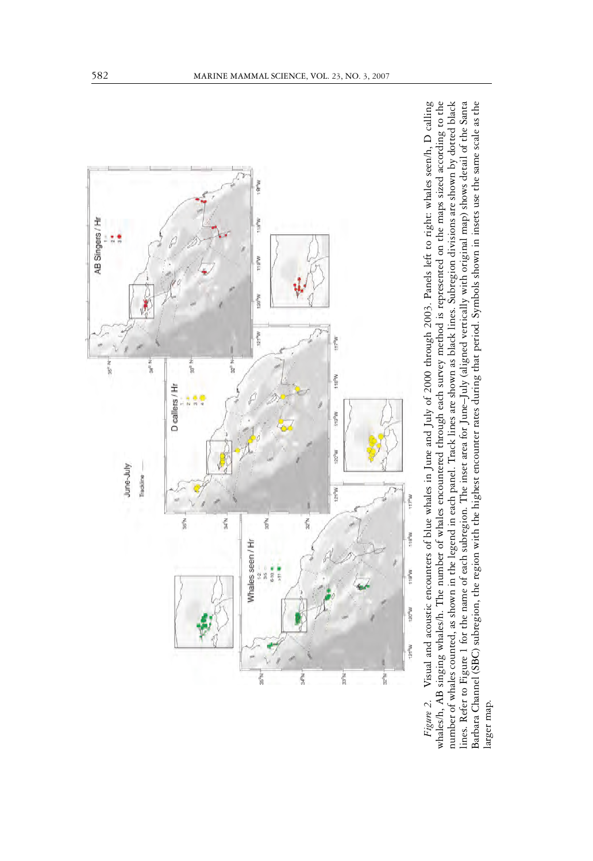

whales/h, AB singing whales/h. The number of whales encountered through each survey method is represented on the maps sized according to the number of whales counted, as shown in the legend in each panel. Track lines are shown as black lines. Subregion divisions are shown by dotted black lines. Refer to Figure 1 for the name of each subregion. The inset area for June–July (aligned vertically with original map) shows detail of the Santa Barbara Channel (SBC) subregion, the region with the highest encounter rates during that period. Symbols shown in insets use the same scale as the *Figure 2.* Visual and acoustic encounters of blue whales in June and July of 2000 through 2003. Panels left to right: whales seen/h, D calling whales/h, AB singing whales/h. The number of whales encountered through each survey method is represented on the maps sized according to the number of whales counted, as shown in the legend in each panel. Track lines are shown as black lines. Subregion divisions are shown by dotted black lines. Refer to Figure 1 for the name of each subregion. The inset area for June–July (aligned vertically with original map) shows detail of the Santa Barbara Channel (SBC) subregion, the region with the highest encounter rates during that period. Symbols shown in insets use the same scale as the Figure 2. larger map.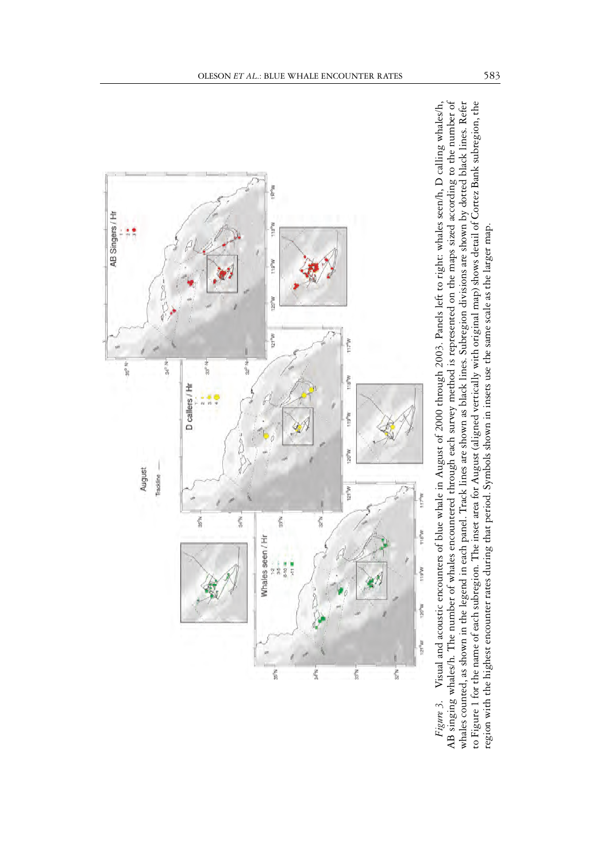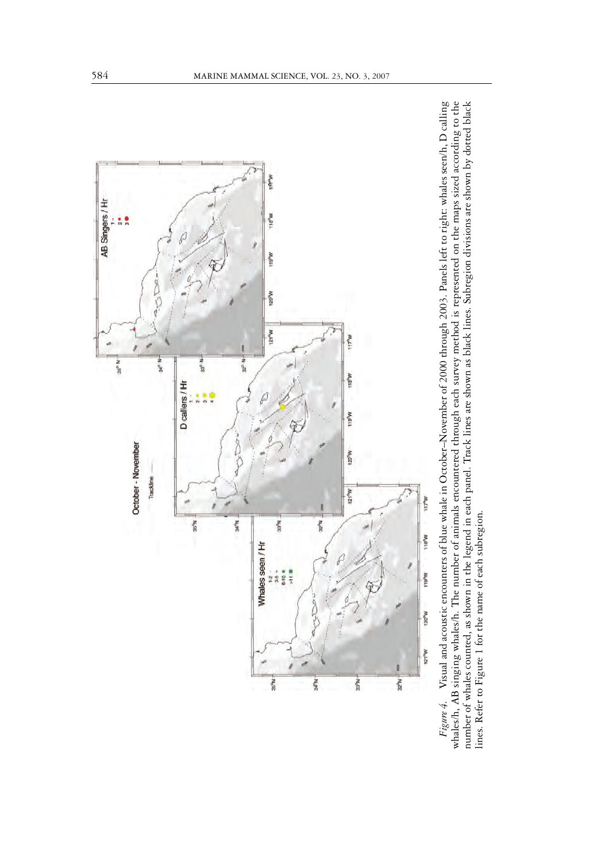

Figure 4. Visual and acoustic encounters of blue whale in October-November of 2000 through 2003. Panels left to right: whales seen/h, D calling<br>whales/h, AB singing whales/h. The number of animals encountered through each number of whales counted, as shown in the legend in each panel. Track lines are shown as black lines. Subregion divisions are shown by dotted black *Figure 4.* Visual and acoustic encounters of blue whale in October–November of 2000 through 2003. Panels left to right: whales seen/h, D calling whales/h, AB singing whales/h. The number of animals encountered through each survey method is represented on the maps sized according to the number of whales counted, as shown in the legend in each panel. Track lines are shown as black lines. Subregion divisions are shown by dotted black lines. Refer to Figure 1 for the name of each subregion. lines. Refer to Figure 1 for the name of each subregion.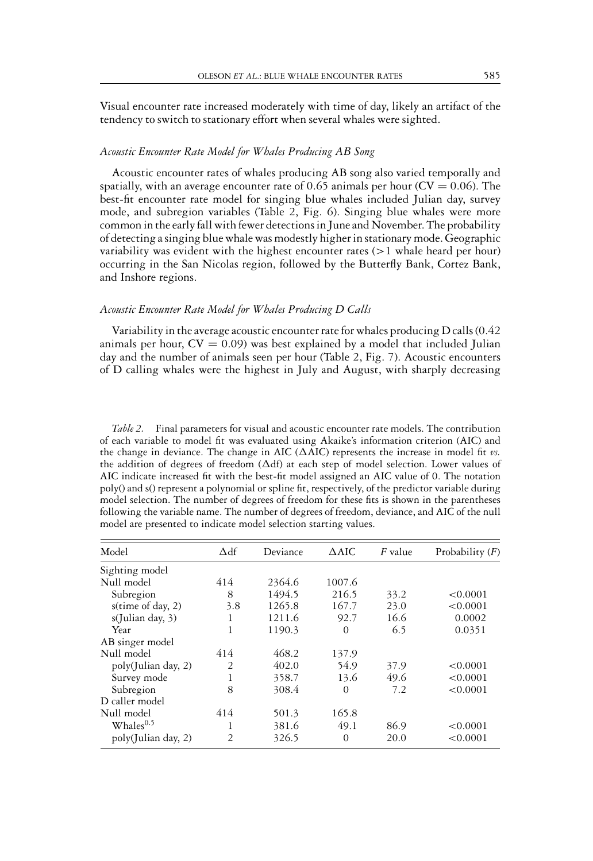Visual encounter rate increased moderately with time of day, likely an artifact of the tendency to switch to stationary effort when several whales were sighted.

## *Acoustic Encounter Rate Model for Whales Producing AB Song*

Acoustic encounter rates of whales producing AB song also varied temporally and spatially, with an average encounter rate of 0.65 animals per hour ( $CV = 0.06$ ). The best-fit encounter rate model for singing blue whales included Julian day, survey mode, and subregion variables (Table 2, Fig. 6). Singing blue whales were more common in the early fall with fewer detections in June and November. The probability of detecting a singing blue whale was modestly higher in stationary mode. Geographic variability was evident with the highest encounter rates  $(>1)$  whale heard per hour) occurring in the San Nicolas region, followed by the Butterfly Bank, Cortez Bank, and Inshore regions.

# *Acoustic Encounter Rate Model for Whales Producing D Calls*

Variability in the average acoustic encounter rate for whales producing D calls (0.42 animals per hour,  $CV = 0.09$ ) was best explained by a model that included Julian day and the number of animals seen per hour (Table 2, Fig. 7). Acoustic encounters of D calling whales were the highest in July and August, with sharply decreasing

*Table 2.* Final parameters for visual and acoustic encounter rate models. The contribution of each variable to model fit was evaluated using Akaike's information criterion (AIC) and the change in deviance. The change in AIC ( $\Delta$ AIC) represents the increase in model fit *vs.* the addition of degrees of freedom ( $\Delta \text{d} \text{f}$ ) at each step of model selection. Lower values of AIC indicate increased fit with the best-fit model assigned an AIC value of 0. The notation poly() and s() represent a polynomial or spline fit, respectively, of the predictor variable during model selection. The number of degrees of freedom for these fits is shown in the parentheses following the variable name. The number of degrees of freedom, deviance, and AIC of the null model are presented to indicate model selection starting values.

| Model                 | $\Delta df$    | Deviance | $\triangle$ AIC | $F$ value | Probability $(F)$ |
|-----------------------|----------------|----------|-----------------|-----------|-------------------|
| Sighting model        |                |          |                 |           |                   |
| Null model            | 414            | 2364.6   | 1007.6          |           |                   |
| Subregion             | 8              | 1494.5   | 216.5           | 33.2      | < 0.0001          |
| s(time of day, $2$ )  | 3.8            | 1265.8   | 167.7           | 23.0      | < 0.0001          |
| s(Julian day, 3)      | 1              | 1211.6   | 92.7            | 16.6      | 0.0002            |
| Year                  | 1              | 1190.3   | $\Omega$        | 6.5       | 0.0351            |
| AB singer model       |                |          |                 |           |                   |
| Null model            | 414            | 468.2    | 137.9           |           |                   |
| poly(Julian day, 2)   | $\overline{2}$ | 402.0    | 54.9            | 37.9      | < 0.0001          |
| Survey mode           | 1              | 358.7    | 13.6            | 49.6      | < 0.0001          |
| Subregion             | 8              | 308.4    | $\Omega$        | 7.2       | < 0.0001          |
| D caller model        |                |          |                 |           |                   |
| Null model            | 414            | 501.3    | 165.8           |           |                   |
| Whales <sup>0.5</sup> | 1              | 381.6    | 49.1            | 86.9      | < 0.0001          |
| poly(Julian day, 2)   | 2              | 326.5    | $\theta$        | 20.0      | < 0.0001          |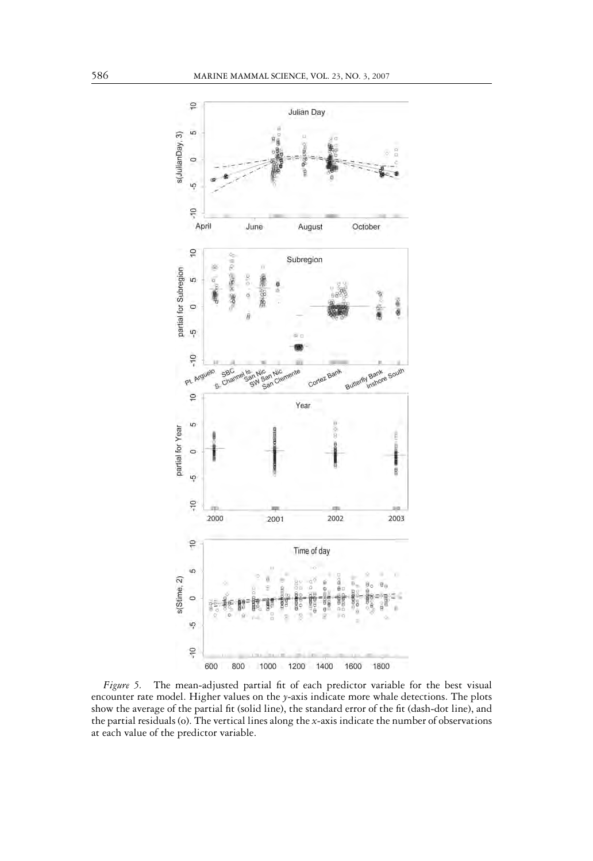

*Figure 5.* The mean-adjusted partial fit of each predictor variable for the best visual encounter rate model. Higher values on the *y*-axis indicate more whale detections. The plots show the average of the partial fit (solid line), the standard error of the fit (dash-dot line), and the partial residuals (o). The vertical lines along the *x*-axis indicate the number of observations at each value of the predictor variable.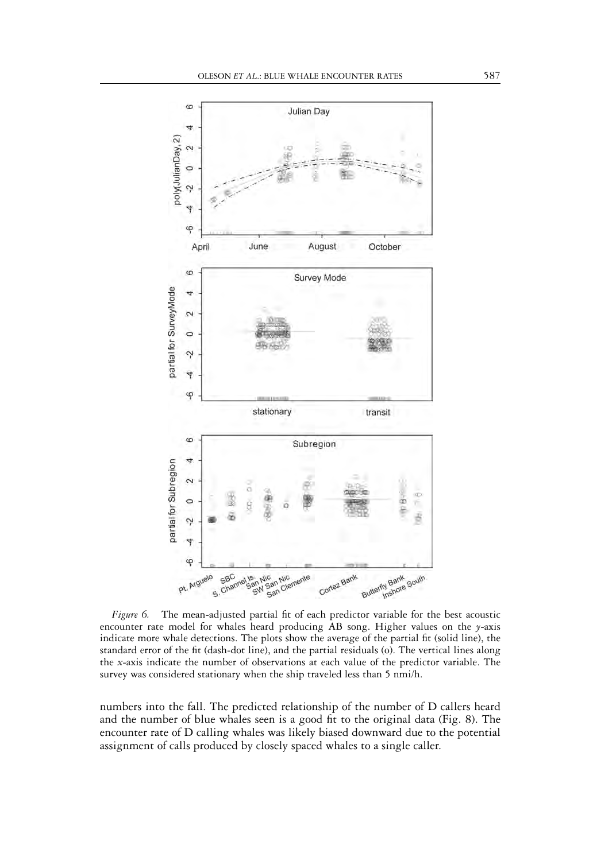

*Figure 6.* The mean-adjusted partial fit of each predictor variable for the best acoustic encounter rate model for whales heard producing AB song. Higher values on the *y*-axis indicate more whale detections. The plots show the average of the partial fit (solid line), the standard error of the fit (dash-dot line), and the partial residuals (o). The vertical lines along the *x*-axis indicate the number of observations at each value of the predictor variable. The survey was considered stationary when the ship traveled less than 5 nmi/h.

numbers into the fall. The predicted relationship of the number of D callers heard and the number of blue whales seen is a good fit to the original data (Fig. 8). The encounter rate of D calling whales was likely biased downward due to the potential assignment of calls produced by closely spaced whales to a single caller.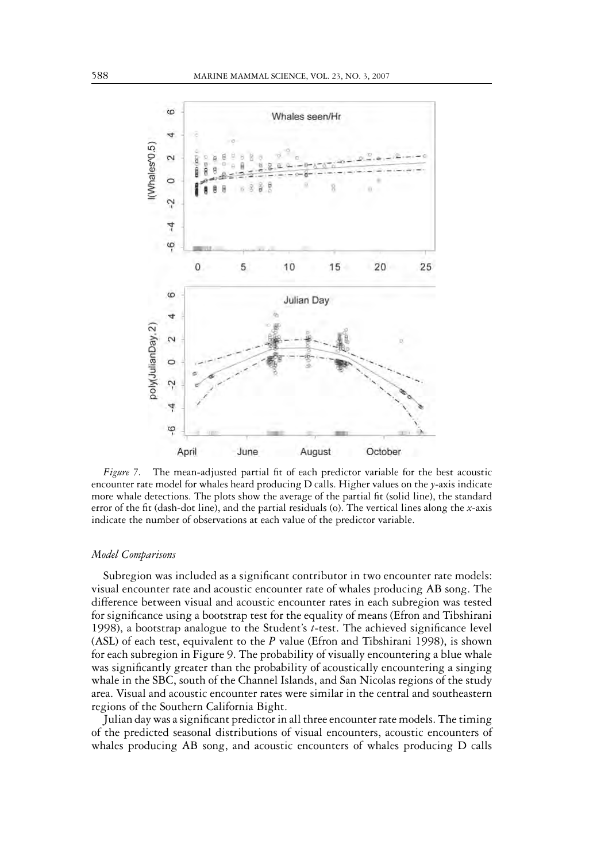

*Figure 7.* The mean-adjusted partial fit of each predictor variable for the best acoustic encounter rate model for whales heard producing D calls. Higher values on the *y*-axis indicate more whale detections. The plots show the average of the partial fit (solid line), the standard error of the fit (dash-dot line), and the partial residuals (o). The vertical lines along the *x*-axis indicate the number of observations at each value of the predictor variable.

#### *Model Comparisons*

Subregion was included as a significant contributor in two encounter rate models: visual encounter rate and acoustic encounter rate of whales producing AB song. The difference between visual and acoustic encounter rates in each subregion was tested for significance using a bootstrap test for the equality of means (Efron and Tibshirani 1998), a bootstrap analogue to the Student's *t*-test. The achieved significance level (ASL) of each test, equivalent to the *P* value (Efron and Tibshirani 1998), is shown for each subregion in Figure 9. The probability of visually encountering a blue whale was significantly greater than the probability of acoustically encountering a singing whale in the SBC, south of the Channel Islands, and San Nicolas regions of the study area. Visual and acoustic encounter rates were similar in the central and southeastern regions of the Southern California Bight.

Julian day was a significant predictor in all three encounter rate models. The timing of the predicted seasonal distributions of visual encounters, acoustic encounters of whales producing AB song, and acoustic encounters of whales producing D calls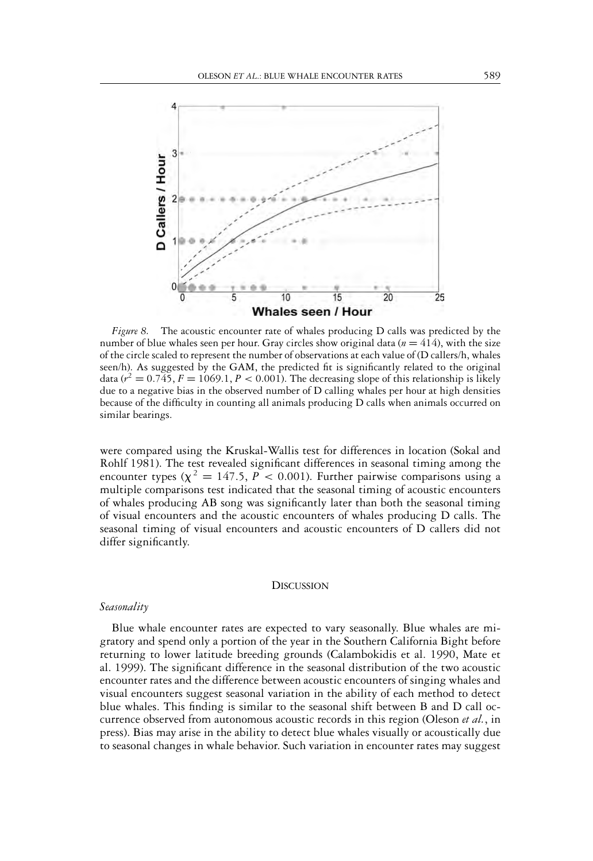

*Figure 8.* The acoustic encounter rate of whales producing D calls was predicted by the number of blue whales seen per hour. Gray circles show original data ( $n = 414$ ), with the size of the circle scaled to represent the number of observations at each value of (D callers/h, whales seen/h). As suggested by the GAM, the predicted fit is significantly related to the original data  $(r^2 = 0.745, F = 1069.1, P < 0.001)$ . The decreasing slope of this relationship is likely due to a negative bias in the observed number of D calling whales per hour at high densities because of the difficulty in counting all animals producing D calls when animals occurred on similar bearings.

were compared using the Kruskal-Wallis test for differences in location (Sokal and Rohlf 1981). The test revealed significant differences in seasonal timing among the encounter types ( $\chi^2 = 147.5$ ,  $\bar{P} < 0.001$ ). Further pairwise comparisons using a multiple comparisons test indicated that the seasonal timing of acoustic encounters of whales producing AB song was significantly later than both the seasonal timing of visual encounters and the acoustic encounters of whales producing D calls. The seasonal timing of visual encounters and acoustic encounters of D callers did not differ significantly.

#### **DISCUSSION**

## *Seasonality*

Blue whale encounter rates are expected to vary seasonally. Blue whales are migratory and spend only a portion of the year in the Southern California Bight before returning to lower latitude breeding grounds (Calambokidis et al. 1990, Mate et al. 1999). The significant difference in the seasonal distribution of the two acoustic encounter rates and the difference between acoustic encounters of singing whales and visual encounters suggest seasonal variation in the ability of each method to detect blue whales. This finding is similar to the seasonal shift between B and D call occurrence observed from autonomous acoustic records in this region (Oleson *et al.*, in press). Bias may arise in the ability to detect blue whales visually or acoustically due to seasonal changes in whale behavior. Such variation in encounter rates may suggest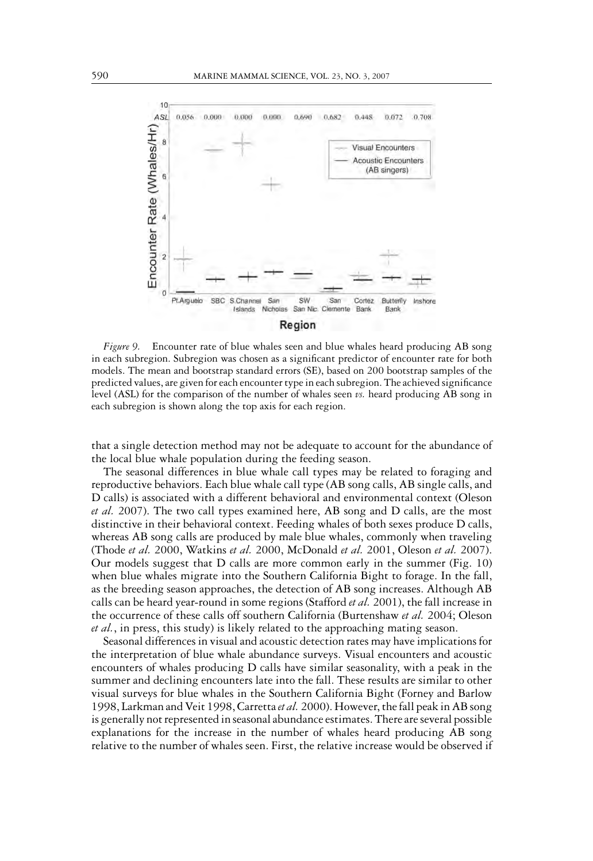

*Figure 9.* Encounter rate of blue whales seen and blue whales heard producing AB song in each subregion. Subregion was chosen as a significant predictor of encounter rate for both models. The mean and bootstrap standard errors (SE), based on 200 bootstrap samples of the predicted values, are given for each encounter type in each subregion. The achieved significance level (ASL) for the comparison of the number of whales seen *vs.* heard producing AB song in each subregion is shown along the top axis for each region.

that a single detection method may not be adequate to account for the abundance of the local blue whale population during the feeding season.

The seasonal differences in blue whale call types may be related to foraging and reproductive behaviors. Each blue whale call type (AB song calls, AB single calls, and D calls) is associated with a different behavioral and environmental context (Oleson *et al.* 2007). The two call types examined here, AB song and D calls, are the most distinctive in their behavioral context. Feeding whales of both sexes produce D calls, whereas AB song calls are produced by male blue whales, commonly when traveling (Thode *et al.* 2000, Watkins *et al.* 2000, McDonald *et al.* 2001, Oleson *et al.* 2007). Our models suggest that D calls are more common early in the summer (Fig. 10) when blue whales migrate into the Southern California Bight to forage. In the fall, as the breeding season approaches, the detection of AB song increases. Although AB calls can be heard year-round in some regions (Stafford *et al.* 2001), the fall increase in the occurrence of these calls off southern California (Burtenshaw *et al.* 2004; Oleson *et al.*, in press, this study) is likely related to the approaching mating season.

Seasonal differences in visual and acoustic detection rates may have implications for the interpretation of blue whale abundance surveys. Visual encounters and acoustic encounters of whales producing D calls have similar seasonality, with a peak in the summer and declining encounters late into the fall. These results are similar to other visual surveys for blue whales in the Southern California Bight (Forney and Barlow 1998, Larkman and Veit 1998, Carretta*et al.* 2000). However, the fall peak in AB song is generally not represented in seasonal abundance estimates. There are several possible explanations for the increase in the number of whales heard producing AB song relative to the number of whales seen. First, the relative increase would be observed if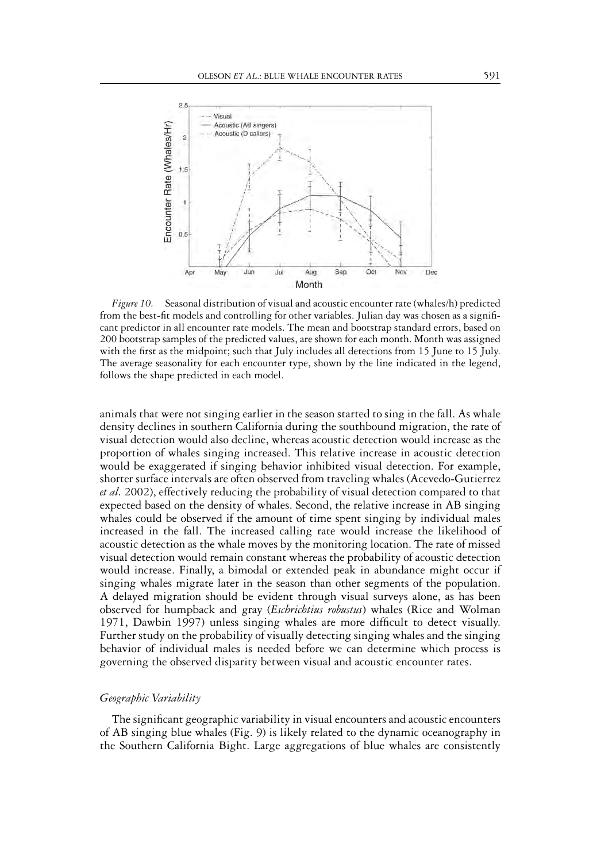

*Figure 10.* Seasonal distribution of visual and acoustic encounter rate (whales/h) predicted from the best-fit models and controlling for other variables. Julian day was chosen as a significant predictor in all encounter rate models. The mean and bootstrap standard errors, based on 200 bootstrap samples of the predicted values, are shown for each month. Month was assigned with the first as the midpoint; such that July includes all detections from 15 June to 15 July. The average seasonality for each encounter type, shown by the line indicated in the legend, follows the shape predicted in each model.

animals that were not singing earlier in the season started to sing in the fall. As whale density declines in southern California during the southbound migration, the rate of visual detection would also decline, whereas acoustic detection would increase as the proportion of whales singing increased. This relative increase in acoustic detection would be exaggerated if singing behavior inhibited visual detection. For example, shorter surface intervals are often observed from traveling whales (Acevedo-Gutierrez *et al.* 2002), effectively reducing the probability of visual detection compared to that expected based on the density of whales. Second, the relative increase in AB singing whales could be observed if the amount of time spent singing by individual males increased in the fall. The increased calling rate would increase the likelihood of acoustic detection as the whale moves by the monitoring location. The rate of missed visual detection would remain constant whereas the probability of acoustic detection would increase. Finally, a bimodal or extended peak in abundance might occur if singing whales migrate later in the season than other segments of the population. A delayed migration should be evident through visual surveys alone, as has been observed for humpback and gray (*Eschrichtius robustus*) whales (Rice and Wolman 1971, Dawbin 1997) unless singing whales are more difficult to detect visually. Further study on the probability of visually detecting singing whales and the singing behavior of individual males is needed before we can determine which process is governing the observed disparity between visual and acoustic encounter rates.

# *Geographic Variability*

The significant geographic variability in visual encounters and acoustic encounters of AB singing blue whales (Fig. 9) is likely related to the dynamic oceanography in the Southern California Bight. Large aggregations of blue whales are consistently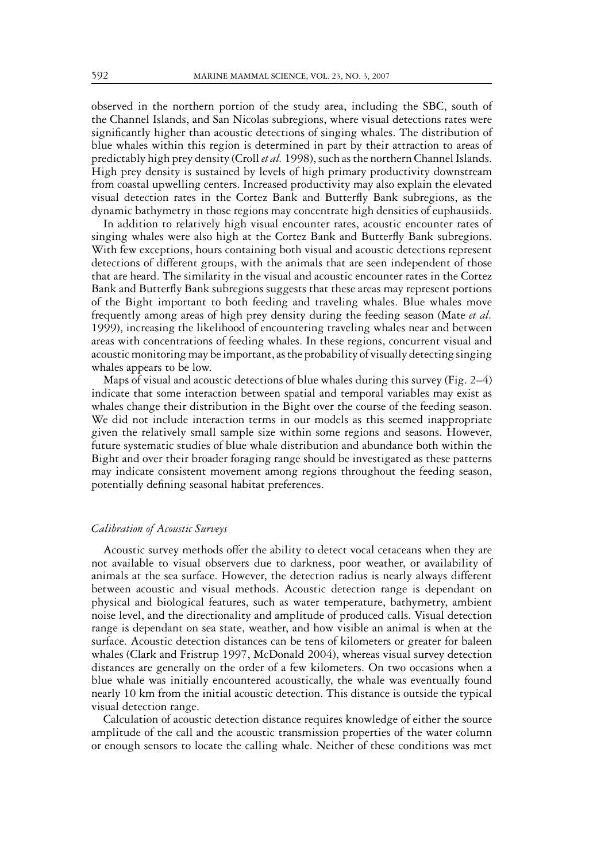observed in the northern portion of the study area, including the SBC, south of the Channel Islands, and San Nicolas subregions, where visual detections rates were significantly higher than acoustic detections of singing whales. The distribution of blue whales within this region is determined in part by their attraction to areas of predictably high prey density (Croll *et al.* 1998), such as the northern Channel Islands. High prey density is sustained by levels of high primary productivity downstream from coastal upwelling centers. Increased productivity may also explain the elevated visual detection rates in the Cortez Bank and Butterfly Bank subregions, as the dynamic bathymetry in those regions may concentrate high densities of euphausiids.

In addition to relatively high visual encounter rates, acoustic encounter rates of singing whales were also high at the Cortez Bank and Butterfly Bank subregions. With few exceptions, hours containing both visual and acoustic detections represent detections of different groups, with the animals that are seen independent of those that are heard. The similarity in the visual and acoustic encounter rates in the Cortez Bank and Butterfly Bank subregions suggests that these areas may represent portions of the Bight important to both feeding and traveling whales. Blue whales move frequently among areas of high prey density during the feeding season (Mate *et al.* 1999), increasing the likelihood of encountering traveling whales near and between areas with concentrations of feeding whales. In these regions, concurrent visual and acoustic monitoring may be important, as the probability of visually detecting singing whales appears to be low.

Maps of visual and acoustic detections of blue whales during this survey (Fig.  $2-4$ ) indicate that some interaction between spatial and temporal variables may exist as whales change their distribution in the Bight over the course of the feeding season. We did not include interaction terms in our models as this seemed inappropriate given the relatively small sample size within some regions and seasons. However, future systematic studies of blue whale distribution and abundance both within the Bight and over their broader foraging range should be investigated as these patterns may indicate consistent movement among regions throughout the feeding season, potentially defining seasonal habitat preferences.

## *Calibration of Acoustic Surveys*

Acoustic survey methods offer the ability to detect vocal cetaceans when they are not available to visual observers due to darkness, poor weather, or availability of animals at the sea surface. However, the detection radius is nearly always different between acoustic and visual methods. Acoustic detection range is dependant on physical and biological features, such as water temperature, bathymetry, ambient noise level, and the directionality and amplitude of produced calls. Visual detection range is dependant on sea state, weather, and how visible an animal is when at the surface. Acoustic detection distances can be tens of kilometers or greater for baleen whales (Clark and Fristrup 1997, McDonald 2004), whereas visual survey detection distances are generally on the order of a few kilometers. On two occasions when a blue whale was initially encountered acoustically, the whale was eventually found nearly 10 km from the initial acoustic detection. This distance is outside the typical visual detection range.

Calculation of acoustic detection distance requires knowledge of either the source amplitude of the call and the acoustic transmission properties of the water column or enough sensors to locate the calling whale. Neither of these conditions was met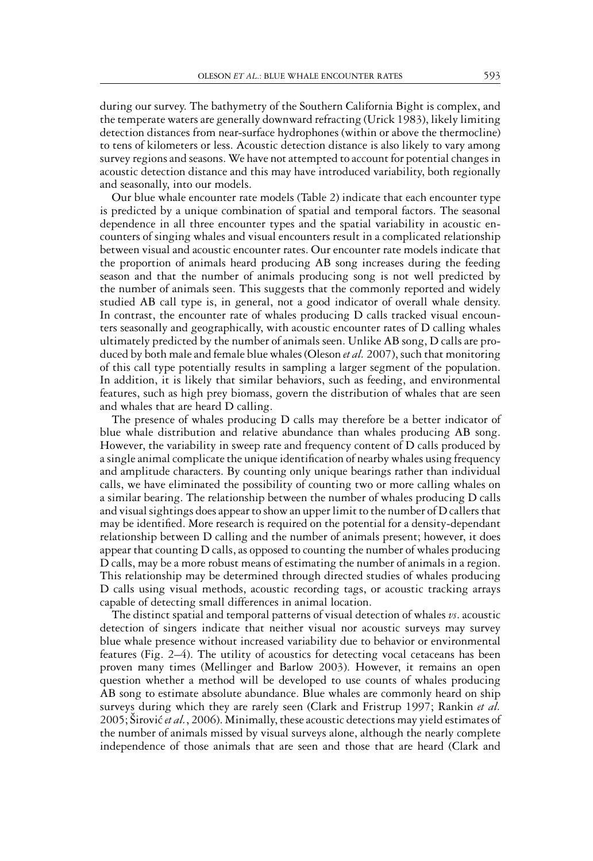during our survey. The bathymetry of the Southern California Bight is complex, and the temperate waters are generally downward refracting (Urick 1983), likely limiting detection distances from near-surface hydrophones (within or above the thermocline) to tens of kilometers or less. Acoustic detection distance is also likely to vary among survey regions and seasons. We have not attempted to account for potential changes in acoustic detection distance and this may have introduced variability, both regionally and seasonally, into our models.

Our blue whale encounter rate models (Table 2) indicate that each encounter type is predicted by a unique combination of spatial and temporal factors. The seasonal dependence in all three encounter types and the spatial variability in acoustic encounters of singing whales and visual encounters result in a complicated relationship between visual and acoustic encounter rates. Our encounter rate models indicate that the proportion of animals heard producing AB song increases during the feeding season and that the number of animals producing song is not well predicted by the number of animals seen. This suggests that the commonly reported and widely studied AB call type is, in general, not a good indicator of overall whale density. In contrast, the encounter rate of whales producing D calls tracked visual encounters seasonally and geographically, with acoustic encounter rates of D calling whales ultimately predicted by the number of animals seen. Unlike AB song, D calls are produced by both male and female blue whales (Oleson *et al.* 2007), such that monitoring of this call type potentially results in sampling a larger segment of the population. In addition, it is likely that similar behaviors, such as feeding, and environmental features, such as high prey biomass, govern the distribution of whales that are seen and whales that are heard D calling.

The presence of whales producing D calls may therefore be a better indicator of blue whale distribution and relative abundance than whales producing AB song. However, the variability in sweep rate and frequency content of D calls produced by a single animal complicate the unique identification of nearby whales using frequency and amplitude characters. By counting only unique bearings rather than individual calls, we have eliminated the possibility of counting two or more calling whales on a similar bearing. The relationship between the number of whales producing D calls and visual sightings does appear to show an upper limit to the number of D callers that may be identified. More research is required on the potential for a density-dependant relationship between D calling and the number of animals present; however, it does appear that counting D calls, as opposed to counting the number of whales producing D calls, may be a more robust means of estimating the number of animals in a region. This relationship may be determined through directed studies of whales producing D calls using visual methods, acoustic recording tags, or acoustic tracking arrays capable of detecting small differences in animal location.

The distinct spatial and temporal patterns of visual detection of whales *vs*. acoustic detection of singers indicate that neither visual nor acoustic surveys may survey blue whale presence without increased variability due to behavior or environmental features (Fig. 2–4). The utility of acoustics for detecting vocal cetaceans has been proven many times (Mellinger and Barlow 2003). However, it remains an open question whether a method will be developed to use counts of whales producing AB song to estimate absolute abundance. Blue whales are commonly heard on ship surveys during which they are rarely seen (Clark and Fristrup 1997; Rankin *et al.* 2005; Širović et al., 2006). Minimally, these acoustic detections may yield estimates of the number of animals missed by visual surveys alone, although the nearly complete independence of those animals that are seen and those that are heard (Clark and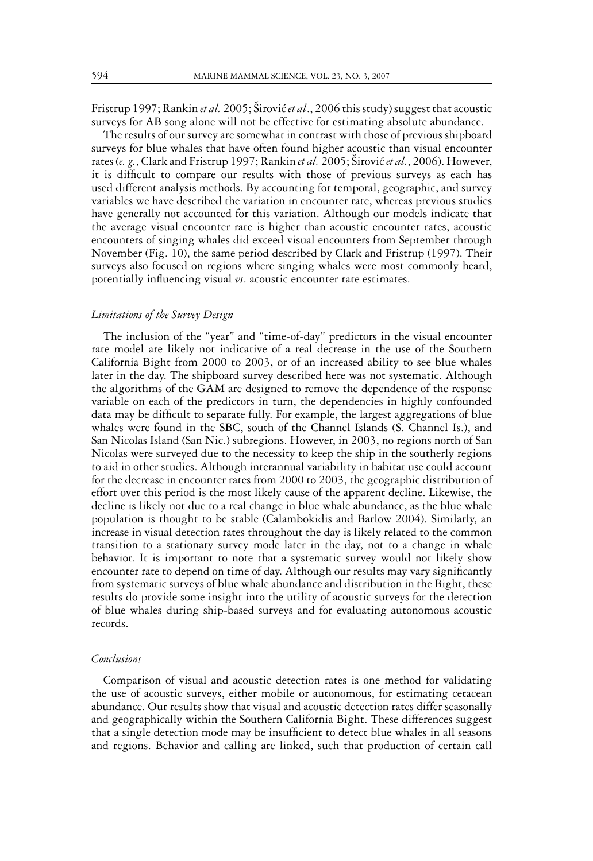Fristrup 1997; Rankin *et al.* 2005; Širović *et al*., 2006 this study) suggest that acoustic surveys for AB song alone will not be effective for estimating absolute abundance.

The results of our survey are somewhat in contrast with those of previous shipboard surveys for blue whales that have often found higher acoustic than visual encounter rates (*e. g.* , Clark and Fristrup 1997; Rankin *et al.* 2005; Širović *et al.* , 2006). However, it is difficult to compare our results with those of previous surveys as each has used different analysis methods. By accounting for temporal, geographic, and survey variables we have described the variation in encounter rate, whereas previous studies have generally not accounted for this variation. Although our models indicate that the average visual encounter rate is higher than acoustic encounter rates, acoustic encounters of singing whales did exceed visual encounters from September through November (Fig. 10), the same period described by Clark and Fristrup (1997). Their surveys also focused on regions where singing whales were most commonly heard, potentially influencing visual *vs*. acoustic encounter rate estimates.

## *Limitations of the Survey Design*

The inclusion of the "year" and "time-of-day" predictors in the visual encounter rate model are likely not indicative of a real decrease in the use of the Southern California Bight from 2000 to 2003, or of an increased ability to see blue whales later in the day. The shipboard survey described here was not systematic. Although the algorithms of the GAM are designed to remove the dependence of the response variable on each of the predictors in turn, the dependencies in highly confounded data may be difficult to separate fully. For example, the largest aggregations of blue whales were found in the SBC, south of the Channel Islands (S. Channel Is.), and San Nicolas Island (San Nic.) subregions. However, in 2003, no regions north of San Nicolas were surveyed due to the necessity to keep the ship in the southerly regions to aid in other studies. Although interannual variability in habitat use could account for the decrease in encounter rates from 2000 to 2003, the geographic distribution of effort over this period is the most likely cause of the apparent decline. Likewise, the decline is likely not due to a real change in blue whale abundance, as the blue whale population is thought to be stable (Calambokidis and Barlow 2004). Similarly, an increase in visual detection rates throughout the day is likely related to the common transition to a stationary survey mode later in the day, not to a change in whale behavior. It is important to note that a systematic survey would not likely show encounter rate to depend on time of day. Although our results may vary significantly from systematic surveys of blue whale abundance and distribution in the Bight, these results do provide some insight into the utility of acoustic surveys for the detection of blue whales during ship-based surveys and for evaluating autonomous acoustic records.

#### *Conclusions*

Comparison of visual and acoustic detection rates is one method for validating the use of acoustic surveys, either mobile or autonomous, for estimating cetacean abundance. Our results show that visual and acoustic detection rates differ seasonally and geographically within the Southern California Bight. These differences suggest that a single detection mode may be insufficient to detect blue whales in all seasons and regions. Behavior and calling are linked, such that production of certain call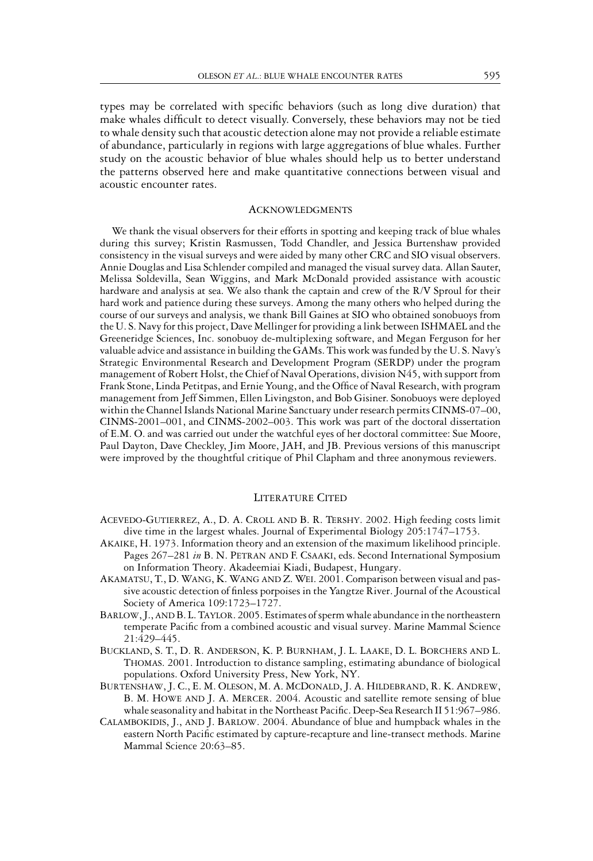types may be correlated with specific behaviors (such as long dive duration) that make whales difficult to detect visually. Conversely, these behaviors may not be tied to whale density such that acoustic detection alone may not provide a reliable estimate of abundance, particularly in regions with large aggregations of blue whales. Further study on the acoustic behavior of blue whales should help us to better understand the patterns observed here and make quantitative connections between visual and acoustic encounter rates.

## **ACKNOWLEDGMENTS**

We thank the visual observers for their efforts in spotting and keeping track of blue whales during this survey; Kristin Rasmussen, Todd Chandler, and Jessica Burtenshaw provided consistency in the visual surveys and were aided by many other CRC and SIO visual observers. Annie Douglas and Lisa Schlender compiled and managed the visual survey data. Allan Sauter, Melissa Soldevilla, Sean Wiggins, and Mark McDonald provided assistance with acoustic hardware and analysis at sea. We also thank the captain and crew of the R/V Sproul for their hard work and patience during these surveys. Among the many others who helped during the course of our surveys and analysis, we thank Bill Gaines at SIO who obtained sonobuoys from the U. S. Navy for this project, Dave Mellinger for providing a link between ISHMAEL and the Greeneridge Sciences, Inc. sonobuoy de-multiplexing software, and Megan Ferguson for her valuable advice and assistance in building the GAMs. This work was funded by the U. S. Navy's Strategic Environmental Research and Development Program (SERDP) under the program management of Robert Holst, the Chief of Naval Operations, division N45, with support from Frank Stone, Linda Petitpas, and Ernie Young, and the Office of Naval Research, with program management from Jeff Simmen, Ellen Livingston, and Bob Gisiner. Sonobuoys were deployed within the Channel Islands National Marine Sanctuary under research permits CINMS-07–00, CINMS-2001–001, and CINMS-2002–003. This work was part of the doctoral dissertation of E.M. O. and was carried out under the watchful eyes of her doctoral committee: Sue Moore, Paul Dayton, Dave Checkley, Jim Moore, JAH, and JB. Previous versions of this manuscript were improved by the thoughtful critique of Phil Clapham and three anonymous reviewers.

# LITERATURE CITED

- ACEVEDO-GUTIERREZ, A., D. A. CROLL AND B. R. TERSHY. 2002. High feeding costs limit dive time in the largest whales. Journal of Experimental Biology 205:1747–1753.
- AKAIKE, H. 1973. Information theory and an extension of the maximum likelihood principle. Pages 267–281 *in* B. N. PETRAN AND F. CSAAKI, eds. Second International Symposium on Information Theory. Akadeemiai Kiadi, Budapest, Hungary.
- AKAMATSU, T., D. WANG, K. WANG AND Z. WEI. 2001. Comparison between visual and passive acoustic detection of finless porpoises in the Yangtze River. Journal of the Acoustical Society of America 109:1723–1727.
- BARLOW, J., AND B. L. TAYLOR. 2005. Estimates of sperm whale abundance in the northeastern temperate Pacific from a combined acoustic and visual survey. Marine Mammal Science 21:429–445.
- BUCKLAND, S. T., D. R. ANDERSON, K. P. BURNHAM, J. L. LAAKE, D. L. BORCHERS AND L. THOMAS. 2001. Introduction to distance sampling, estimating abundance of biological populations. Oxford University Press, New York, NY.
- BURTENSHAW, J. C., E. M. OLESON, M. A. MCDONALD, J. A. HILDEBRAND, R. K. ANDREW, B. M. HOWE AND J. A. MERCER. 2004. Acoustic and satellite remote sensing of blue whale seasonality and habitat in the Northeast Pacific. Deep-Sea Research II 51:967–986.
- CALAMBOKIDIS, J., AND J. BARLOW. 2004. Abundance of blue and humpback whales in the eastern North Pacific estimated by capture-recapture and line-transect methods. Marine Mammal Science 20:63–85.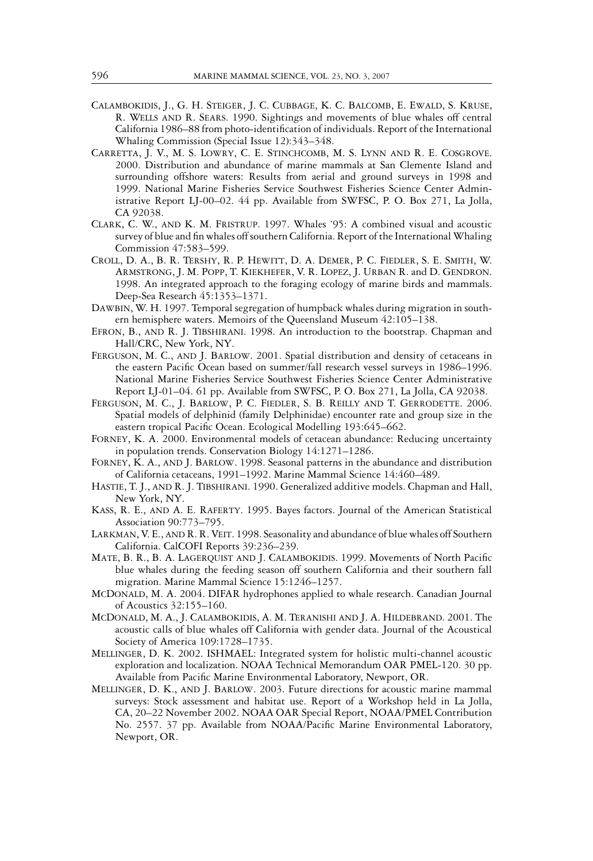- CALAMBOKIDIS, J., G. H. STEIGER, J. C. CUBBAGE, K. C. BALCOMB, E. EWALD, S. KRUSE, R. WELLS AND R. SEARS. 1990. Sightings and movements of blue whales off central California 1986–88 from photo-identification of individuals. Report of the International Whaling Commission (Special Issue 12):343–348.
- CARRETTA, J. V., M. S. LOWRY, C. E. STINCHCOMB, M. S. LYNN AND R. E. COSGROVE. 2000. Distribution and abundance of marine mammals at San Clemente Island and surrounding offshore waters: Results from aerial and ground surveys in 1998 and 1999. National Marine Fisheries Service Southwest Fisheries Science Center Administrative Report LJ-00–02. 44 pp. Available from SWFSC, P. O. Box 271, La Jolla, CA 92038.
- CLARK, C. W., AND K. M. FRISTRUP. 1997. Whales '95: A combined visual and acoustic survey of blue and fin whales off southern California. Report of the International Whaling Commission 47:583–599.
- CROLL, D. A., B. R. TERSHY, R. P. HEWITT, D. A. DEMER, P. C. FIEDLER, S. E. SMITH, W. ARMSTRONG, J. M. POPP, T. KIEKHEFER, V. R. LOPEZ, J. URBAN R. and D. GENDRON. 1998. An integrated approach to the foraging ecology of marine birds and mammals. Deep-Sea Research 45:1353–1371.
- DAWBIN, W. H. 1997. Temporal segregation of humpback whales during migration in southern hemisphere waters. Memoirs of the Queensland Museum 42:105–138.
- EFRON, B., AND R. J. TIBSHIRANI. 1998. An introduction to the bootstrap. Chapman and Hall/CRC, New York, NY.
- FERGUSON, M. C., AND J. BARLOW. 2001. Spatial distribution and density of cetaceans in the eastern Pacific Ocean based on summer/fall research vessel surveys in 1986–1996. National Marine Fisheries Service Southwest Fisheries Science Center Administrative Report LJ-01–04. 61 pp. Available from SWFSC, P. O. Box 271, La Jolla, CA 92038.
- FERGUSON, M. C., J. BARLOW, P. C. FIEDLER, S. B. REILLY AND T. GERRODETTE. 2006. Spatial models of delphinid (family Delphinidae) encounter rate and group size in the eastern tropical Pacific Ocean. Ecological Modelling 193:645–662.
- FORNEY, K. A. 2000. Environmental models of cetacean abundance: Reducing uncertainty in population trends. Conservation Biology 14:1271–1286.
- FORNEY, K. A., AND J. BARLOW. 1998. Seasonal patterns in the abundance and distribution of California cetaceans, 1991–1992. Marine Mammal Science 14:460–489.
- HASTIE, T. J., AND R. J. TIBSHIRANI. 1990. Generalized additive models. Chapman and Hall, New York, NY.
- KASS, R. E., AND A. E. RAFERTY. 1995. Bayes factors. Journal of the American Statistical Association 90:773–795.
- LARKMAN, V. E., AND R. R. VEIT. 1998. Seasonality and abundance of blue whales off Southern California. CalCOFI Reports 39:236–239.
- MATE, B. R., B. A. LAGERQUIST AND J. CALAMBOKIDIS. 1999. Movements of North Pacific blue whales during the feeding season off southern California and their southern fall migration. Marine Mammal Science 15:1246–1257.
- MCDONALD, M. A. 2004. DIFAR hydrophones applied to whale research. Canadian Journal of Acoustics 32:155–160.
- MCDONALD, M. A., J. CALAMBOKIDIS, A. M. TERANISHI AND J. A. HILDEBRAND. 2001. The acoustic calls of blue whales off California with gender data. Journal of the Acoustical Society of America 109:1728–1735.
- MELLINGER, D. K. 2002. ISHMAEL: Integrated system for holistic multi-channel acoustic exploration and localization. NOAA Technical Memorandum OAR PMEL-120. 30 pp. Available from Pacific Marine Environmental Laboratory, Newport, OR.
- MELLINGER, D. K., AND J. BARLOW. 2003. Future directions for acoustic marine mammal surveys: Stock assessment and habitat use. Report of a Workshop held in La Jolla, CA, 20–22 November 2002. NOAA OAR Special Report, NOAA/PMEL Contribution No. 2557. 37 pp. Available from NOAA/Pacific Marine Environmental Laboratory, Newport, OR.